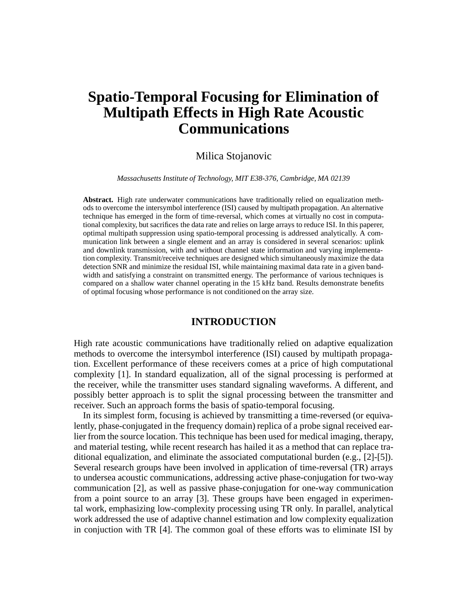# **Spatio-Temporal Focusing for Elimination of Multipath Effects in High Rate Acoustic Communications**

## Milica Stojanovic

*Massachusetts Institute of Technology, MIT E38-376, Cambridge, MA 02139*

**Abstract.** High rate underwater communications have traditionally relied on equalization methods to overcome the intersymbol interference (ISI) caused by multipath propagation. An alternative technique has emerged in the form of time-reversal, which comes at virtually no cost in computational complexity, but sacrifices the data rate and relies on large arrays to reduce ISI. In this paperer, optimal multipath suppression using spatio-temporal processing is addressed analytically. A communication link between a single element and an array is considered in several scenarios: uplink and downlink transmission, with and without channel state information and varying implementation complexity. Transmit/receive techniques are designed which simultaneously maximize the data detection SNR and minimize the residual ISI, while maintaining maximal data rate in a given bandwidth and satisfying a constraint on transmitted energy. The performance of various techniques is compared on a shallow water channel operating in the 15 kHz band. Results demonstrate benefits of optimal focusing whose performance is not conditioned on the array size.

### **INTRODUCTION**

High rate acoustic communications have traditionally relied on adaptive equalization methods to overcome the intersymbol interference (ISI) caused by multipath propagation. Excellent performance of these receivers comes at a price of high computational complexity [1]. In standard equalization, all of the signal processing is performed at the receiver, while the transmitter uses standard signaling waveforms. A different, and possibly better approach is to split the signal processing between the transmitter and receiver. Such an approach forms the basis of spatio-temporal focusing.

In its simplest form, focusing is achieved by transmitting a time-reversed (or equivalently, phase-conjugated in the frequency domain) replica of a probe signal received earlier from the source location. This technique has been used for medical imaging, therapy, and material testing, while recent research has hailed it as a method that can replace traditional equalization, and eliminate the associated computational burden  $(e.g., [2]-[5])$ . Several research groups have been involved in application of time-reversal (TR) arrays to undersea acoustic communications, addressing active phase-conjugation for two-way communication [2], as well as passive phase-conjugation for one-way communication from a point source to an array [3]. These groups have been engaged in experimental work, emphasizing low-complexity processing using TR only. In parallel, analytical work addressed the use of adaptive channel estimation and low complexity equalization in conjuction with TR [4]. The common goal of these efforts was to eliminate ISI by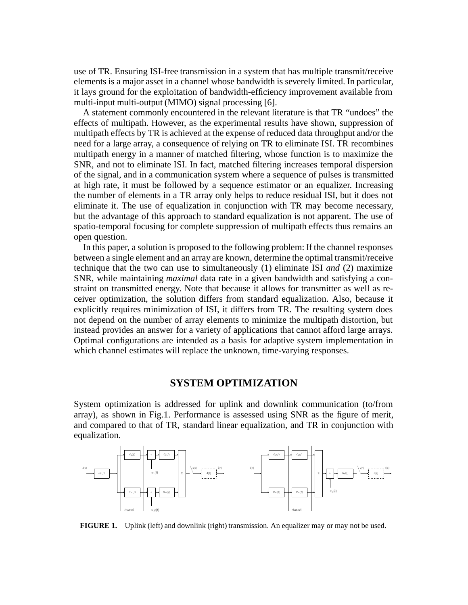use of TR. Ensuring ISI-free transmission in a system that has multiple transmit/receive elements is a major asset in a channel whose bandwidth is severely limited. In particular, it lays ground for the exploitation of bandwidth-efficiency improvement available from multi-input multi-output (MIMO) signal processing [6].

A statement commonly encountered in the relevant literature is that TR "undoes" the effects of multipath. However, as the experimental results have shown, suppression of multipath effects by TR is achieved at the expense of reduced data throughput and/or the need for a large array, a consequence of relying on TR to eliminate ISI. TR recombines multipath energy in a manner of matched filtering, whose function is to maximize the SNR, and not to eliminate ISI. In fact, matched filtering increases temporal dispersion of the signal, and in a communication system where a sequence of pulses is transmitted at high rate, it must be followed by a sequence estimator or an equalizer. Increasing the number of elements in a TR array only helps to reduce residual ISI, but it does not eliminate it. The use of equalization in conjunction with TR may become necessary, but the advantage of this approach to standard equalization is not apparent. The use of spatio-temporal focusing for complete suppression of multipath effects thus remains an open question.

In this paper, a solution is proposed to the following problem: If the channel responses between a single element and an array are known, determine the optimal transmit/receive technique that the two can use to simultaneously (1) eliminate ISI *and* (2) maximize SNR, while maintaining *maximal* data rate in a given bandwidth and satisfying a constraint on transmitted energy. Note that because it allows for transmitter as well as receiver optimization, the solution differs from standard equalization. Also, because it explicitly requires minimization of ISI, it differs from TR. The resulting system does not depend on the number of array elements to minimize the multipath distortion, but instead provides an answer for a variety of applications that cannot afford large arrays. Optimal configurations are intended as a basis for adaptive system implementation in which channel estimates will replace the unknown, time-varying responses.

# **SYSTEM OPTIMIZATION**

System optimization is addressed for uplink and downlink communication (to/from array), as shown in Fig.1. Performance is assessed using SNR as the figure of merit, and compared to that of TR, standard linear equalization, and TR in conjunction with equalization.



**FIGURE 1.** Uplink (left) and downlink (right) transmission. An equalizer may or may not be used.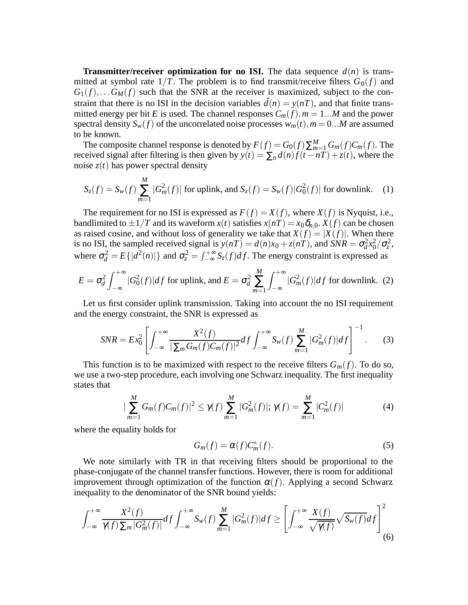**Transmitter/receiver optimization for no ISI.** The data sequence  $d(n)$  is transmitted at symbol rate  $1/T$ . The problem is to find transmit/receive filters  $G_0(f)$  and  $G_1(f), \ldots G_M(f)$  such that the SNR at the receiver is maximized, subject to the constraint that there is no ISI in the decision variables  $\hat{d}(n) = y(nT)$ , and that finite transmitted energy per bit *E* is used. The channel responses  $C_m(f)$ ,  $m = 1...M$  and the power spectral density  $S_w(f)$  of the uncorrelated noise processes  $w_m(t)$ ,  $m = 0...M$  are assumed to be known.

The composite channel response is denoted by  $F(f) = G_0(f) \sum_{m=1}^{M} G_m(f) C_m(f)$ . The received signal after filtering is then given by  $y(t) = \sum_n d(n)f(t - nT) + z(t)$ , where the noise  $z(t)$  has power spectral density

$$
S_z(f) = S_w(f) \sum_{m=1}^{M} |G_m^2(f)| \text{ for uplink, and } S_z(f) = S_w(f) |G_0^2(f)| \text{ for downlink.}
$$
 (1)

The requirement for no ISI is expressed as  $F(f) = X(f)$ , where  $X(f)$  is Nyquist, i.e., bandlimited to  $\pm 1/T$  and its waveform  $x(t)$  satisfies  $x(nT) = x_0 \delta_{n,0}$ .  $X(f)$  can be chosen as raised cosine, and without loss of generality we take that  $X(f) = |X(f)|$ . When there is no ISI, the sampled received signal is  $y(nT) = d(n)x_0 + z(nT)$ , and  $SNR = \sigma_d^2 x_0^2 / \sigma_z^2$ , where  $\sigma_d^2 = E\{|d^2(n)|\}$  and  $\sigma_z^2 = \int_{-\infty}^{+\infty} S_z(f) df$ . The energy constraint is expressed as

$$
E = \sigma_d^2 \int_{-\infty}^{+\infty} |G_0^2(f)| df
$$
 for uplink, and  $E = \sigma_d^2 \sum_{m=1}^{M} \int_{-\infty}^{+\infty} |G_m^2(f)| df$  for downlink. (2)

Let us first consider uplink transmission. Taking into account the no ISI requirement and the energy constraint, the SNR is expressed as

$$
SNR = Ex_0^2 \left[ \int_{-\infty}^{+\infty} \frac{X^2(f)}{|\sum_m G_m(f)C_m(f)|^2} df \int_{-\infty}^{+\infty} S_w(f) \sum_{m=1}^M |G_m^2(f)| df \right]^{-1}.
$$
 (3)

This function is to be maximized with respect to the receive filters  $G_m(f)$ . To do so, we use a two-step procedure, each involving one Schwarz inequality. The first inequality states that

$$
\left|\sum_{m=1}^{M} G_m(f) C_m(f)\right|^2 \leq \gamma(f) \sum_{m=1}^{M} |G_m^2(f)|; \gamma(f) = \sum_{m=1}^{M} |C_m^2(f)| \tag{4}
$$

where the equality holds for

$$
G_m(f) = \alpha(f) C_m^*(f). \tag{5}
$$

We note similarly with TR in that receiving filters should be proportional to the phase-conjugate of the channel transfer functions. However, there is room for additional improvement through optimization of the function  $\alpha(f)$ . Applying a second Schwarz inequality to the denominator of the SNR bound yields:

$$
\int_{-\infty}^{+\infty} \frac{X^2(f)}{\gamma(f)\sum_m |G_m^2(f)|} df \int_{-\infty}^{+\infty} S_w(f) \sum_{m=1}^M |G_m^2(f)| df \ge \left[ \int_{-\infty}^{+\infty} \frac{X(f)}{\sqrt{\gamma(f)}} \sqrt{S_w(f)} df \right]^2 \tag{6}
$$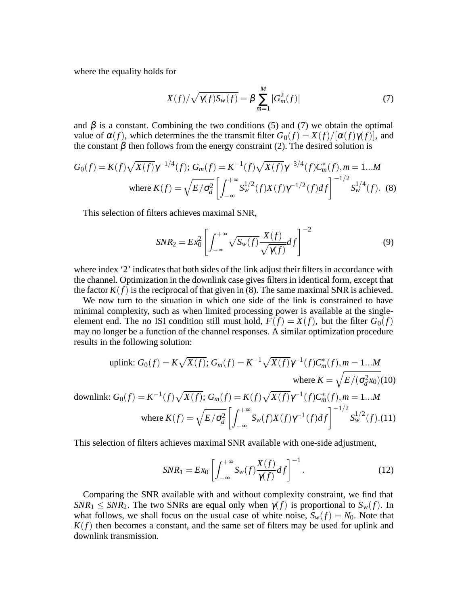where the equality holds for

$$
X(f)/\sqrt{\gamma(f)S_w(f)} = \beta \sum_{m=1}^{M} |G_m^2(f)|
$$
 (7)

and  $\beta$  is a constant. Combining the two conditions (5) and (7) we obtain the optimal value of  $\alpha(f)$ , which determines the the transmit filter  $G_0(f) = X(f)/[\alpha(f)\gamma(f)]$ , and the constant  $\beta$  then follows from the energy constraint (2). The desired solution is

$$
G_0(f) = K(f)\sqrt{X(f)}\gamma^{-1/4}(f); \ G_m(f) = K^{-1}(f)\sqrt{X(f)}\gamma^{-3/4}(f)C_m^*(f), m = 1...M
$$
  
where  $K(f) = \sqrt{E/\sigma_d^2} \left[ \int_{-\infty}^{+\infty} S_w^{1/2}(f)X(f)\gamma^{-1/2}(f)df \right]^{-1/2} S_w^{1/4}(f)$ . (8)

This selection of filters achieves maximal SNR,

$$
SNR_2 = Ex_0^2 \left[ \int_{-\infty}^{+\infty} \sqrt{S_w(f)} \frac{X(f)}{\sqrt{\gamma(f)}} df \right]^{-2}
$$
(9)

where index '2' indicates that both sides of the link adjust their filters in accordance with the channel. Optimization in the downlink case gives filters in identical form, except that the factor  $K(f)$  is the reciprocal of that given in (8). The same maximal SNR is achieved.

We now turn to the situation in which one side of the link is constrained to have minimal complexity, such as when limited processing power is available at the singleelement end. The no ISI condition still must hold,  $F(f) = X(f)$ , but the filter  $G_0(f)$ may no longer be a function of the channel responses. A similar optimization procedure results in the following solution:

uplink: 
$$
G_0(f) = K \sqrt{X(f)}
$$
;  $G_m(f) = K^{-1} \sqrt{X(f)} \gamma^{-1}(f) C_m^*(f), m = 1...M$   
\nwhere  $K = \sqrt{E/(\sigma_d^2 x_0)} (10)$   
\ndownlink:  $G_0(f) = K^{-1}(f) \sqrt{X(f)}$ ;  $G_m(f) = K(f) \sqrt{X(f)} \gamma^{-1}(f) C_m^*(f), m = 1...M$   
\nwhere  $K(f) = \sqrt{E/\sigma_d^2} \left[ \int_{-\infty}^{+\infty} S_w(f) X(f) \gamma^{-1}(f) df \right]^{-1/2} S_w^{1/2}(f)$ . (11)

This selection of filters achieves maximal SNR available with one-side adjustment,

$$
SNR_1 = Ex_0 \left[ \int_{-\infty}^{+\infty} S_w(f) \frac{X(f)}{\gamma(f)} df \right]^{-1}.
$$
 (12)

Comparing the SNR available with and without complexity constraint, we find that *SNR*<sub>1</sub>  $\leq$  *SNR*<sub>2</sub>. The two SNRs are equal only when  $\gamma(f)$  is proportional to  $S_w(f)$ . In what follows, we shall focus on the usual case of white noise,  $S_w(f) = N_0$ . Note that  $K(f)$  then becomes a constant, and the same set of filters may be used for uplink and downlink transmission.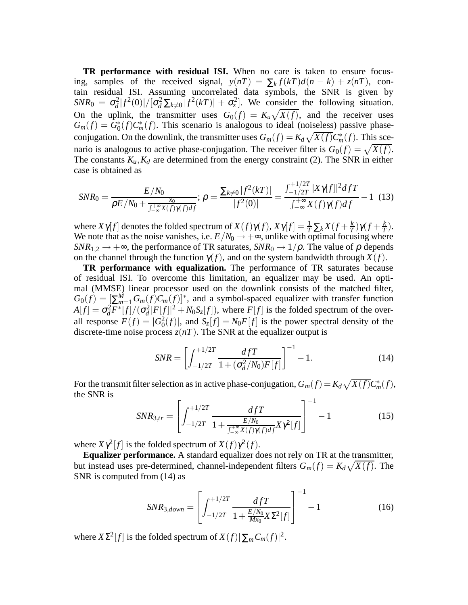**TR performance with residual ISI.** When no care is taken to ensure focusing, samples of the received signal,  $y(nT) = \sum_k f(kT) d(n - k) + z(nT)$ , contain residual ISI. Assuming uncorrelated data symbols, the SNR is given by  $SNR_0 = \sigma_d^2 |f^2(0)|/[\sigma_d^2 \sum_{k \neq 0} |f^2(kT)| + \sigma_z^2]$ . We consider the following situation. On the uplink, the transmitter uses  $G_0(f) = K_u \sqrt{X(f)}$ , and the receiver uses  $G_m(f) = G_0^*(f)C_m^*(f)$ . This scenario is analogous to ideal (noiseless) passive phaseconjugation. On the downlink, the transmitter uses  $G_m(f) = K_d \sqrt{X(f)} C_m^*(f)$ . This scenario is analogous to active phase-conjugation. The receiver filter is  $G_0(f) = \sqrt{X(f)}$ . The constants  $K_u$ ,  $K_d$  are determined from the energy constraint (2). The SNR in either case is obtained as

$$
SNR_0 = \frac{E/N_0}{\rho E/N_0 + \frac{x_0}{\int_{-\infty}^{+\infty} X(f)\gamma(f) df}}; \rho = \frac{\sum_{k \neq 0} |f^2(kT)|}{|f^2(0)|} = \frac{\int_{-1/2T}^{+1/2T} |X\gamma[f]|^2 df}{\int_{-\infty}^{+\infty} X(f)\gamma(f) df} - 1 \tag{13}
$$

where  $X\gamma[f]$  denotes the folded spectrum of  $X(f)\gamma(f)$ ,  $X\gamma[f] = \frac{1}{T}\sum_{k}X(f+\frac{k}{T})\gamma(f+\frac{k}{T})$ . We note that as the noise vanishes, i.e.  $E/N_0 \rightarrow +\infty$ , unlike with optimal focusing where *SNR*<sub>1,2</sub>  $\rightarrow +\infty$ , the performance of TR saturates, *SNR*<sub>0</sub>  $\rightarrow$  1/ $\rho$ . The value of  $\rho$  depends on the channel through the function  $\gamma(f)$ , and on the system bandwidth through  $X(f)$ .

**TR performance with equalization.** The performance of TR saturates because of residual ISI. To overcome this limitation, an equalizer may be used. An optimal (MMSE) linear processor used on the downlink consists of the matched filter,  $G_0(f) = \left[\sum_{m=1}^M G_m(f) C_m(f)\right]^*$ , and a symbol-spaced equalizer with transfer function  $A[f] = \sigma_d^2 F^* [f] / (\sigma_d^2 |F[f]|^2 + N_0 S_z[f])$ , where  $F[f]$  is the folded spectrum of the overall response  $F(f) = |G_0^2(f)|$ , and  $S_z[f] = N_0F[f]$  is the power spectral density of the discrete-time noise process  $z(nT)$ . The SNR at the equalizer output is

$$
SNR = \left[ \int_{-1/2T}^{+1/2T} \frac{dfT}{1 + (\sigma_d^2/N_0)F[f]} \right]^{-1} - 1.
$$
 (14)

For the transmit filter selection as in active phase-conjugation,  $G_m(f) = K_d \sqrt{X(f)} C_m^*(f)$ , the SNR is

$$
SNR_{3,tr} = \left[ \int_{-1/2T}^{+1/2T} \frac{dfT}{1 + \frac{E/N_0}{\int_{-\infty}^{+\infty} X(f)\gamma(f)df} X \gamma^2[f]} \right]^{-1} - 1 \tag{15}
$$

where  $X\gamma^2[f]$  is the folded spectrum of  $X(f)\gamma^2(f)$ .

**Equalizer performance.** A standard equalizer does not rely on TR at the transmitter, but instead uses pre-determined, channel-independent filters  $G_m(f) = K_d \sqrt{X(f)}$ . The SNR is computed from (14) as

$$
SNR_{3,down} = \left[ \int_{-1/2T}^{+1/2T} \frac{dfT}{1 + \frac{E/N_0}{Mx_0} X \Sigma^2[f]} \right]^{-1} - 1 \tag{16}
$$

where  $X\Sigma^2[f]$  is the folded spectrum of  $X(f)|\sum_m C_m(f)|^2$ .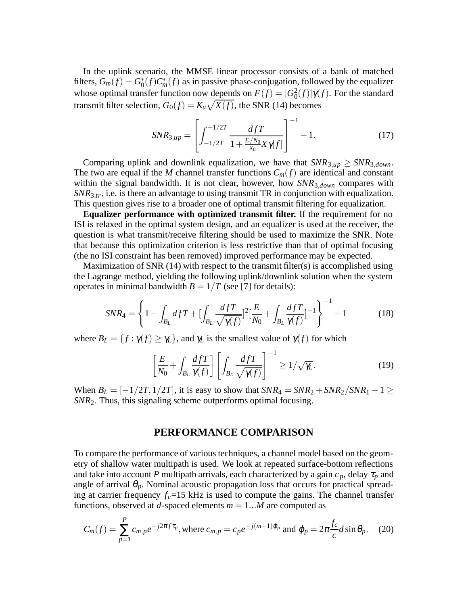In the uplink scenario, the MMSE linear processor consists of a bank of matched filters,  $G_m(f) = G_0^*(f)C_m^*(f)$  as in passive phase-conjugation, followed by the equalizer whose optimal transfer function now depends on  $F(f) = |G_0^2(f)| \gamma(f)$ . For the standard transmit filter selection,  $G_0(f) = K_u \sqrt{X(f)}$ , the SNR (14) becomes

$$
SNR_{3,up} = \left[ \int_{-1/2T}^{+1/2T} \frac{dfT}{1 + \frac{E/N_0}{x_0} X \gamma[f]} \right]^{-1} - 1.
$$
 (17)

Comparing uplink and downlink equalization, we have that  $SNR_{3,up} \geq SNR_{3,down}$ . The two are equal if the *M* channel transfer functions  $C_m(f)$  are identical and constant within the signal bandwidth. It is not clear, however, how *SNR*3,*down* compares with *SNR*3,*tr*, i.e. is there an advantage to using transmit TR in conjunction with equalization. This question gives rise to a broader one of optimal transmit filtering for equalization.

**Equalizer performance with optimized transmit filter.** If the requirement for no ISI is relaxed in the optimal system design, and an equalizer is used at the receiver, the question is what transmit/receive filtering should be used to maximize the SNR. Note that because this optimization criterion is less restrictive than that of optimal focusing (the no ISI constraint has been removed) improved performance may be expected.

Maximization of SNR (14) with respect to the transmit filter(s) is accomplished using the Lagrange method, yielding the following uplink/downlink solution when the system operates in minimal bandwidth  $B = 1/T$  (see [7] for details):

$$
SNR_4 = \left\{ 1 - \int_{B_L} dfT + \left[ \int_{B_L} \frac{dfT}{\sqrt{\gamma(f)}} \right]^2 \left[ \frac{E}{N_0} + \int_{B_L} \frac{dfT}{\gamma(f)} \right]^{-1} \right\}^{-1} - 1 \tag{18}
$$

where  $B_L = \{ f : \gamma(f) \geq \gamma_L \}$ , and  $\gamma_L$  is the smallest value of  $\gamma(f)$  for which

$$
\left[\frac{E}{N_0} + \int_{B_L} \frac{dfT}{\gamma(f)}\right] \left[\int_{B_L} \frac{dfT}{\sqrt{\gamma(f)}}\right]^{-1} \ge 1/\sqrt{\gamma_L}.
$$
\n(19)

When  $B_L = \frac{-1}{2T}$ ,  $\frac{1}{2T}$ , it is easy to show that  $SNR_4 = SNR_2 + SNR_2 / SNR_1 - 1 \ge$ *SNR*<sub>2</sub>. Thus, this signaling scheme outperforms optimal focusing.

## **PERFORMANCE COMPARISON**

To compare the performance of various techniques, a channel model based on the geometry of shallow water multipath is used. We look at repeated surface-bottom reflections and take into account *P* multipath arrivals, each characterized by a gain  $c_p$ , delay  $\tau_p$  and angle of arrival  $\theta_p$ . Nominal acoustic propagation loss that occurs for practical spreading at carrier frequency  $f_c = 15$  kHz is used to compute the gains. The channel transfer functions, observed at *d*-spaced elements  $m = 1...M$  are computed as

$$
C_m(f) = \sum_{p=1}^{P} c_{m,p} e^{-j2\pi f \tau_p}, \text{where } c_{m,p} = c_p e^{-j(m-1)\varphi_p} \text{ and } \varphi_p = 2\pi \frac{f_c}{c} d \sin \theta_p. \tag{20}
$$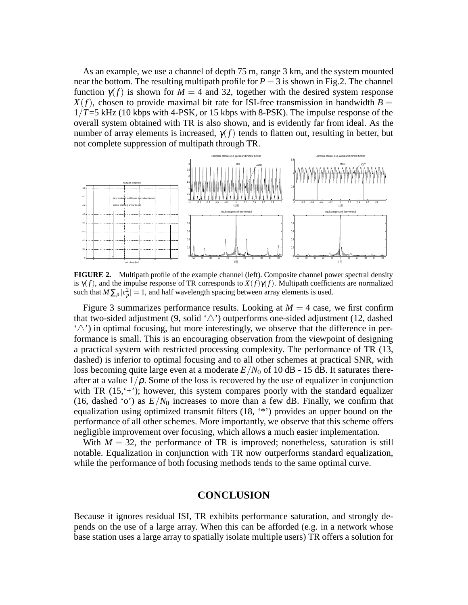As an example, we use a channel of depth 75 m, range 3 km, and the system mounted near the bottom. The resulting multipath profile for  $P = 3$  is shown in Fig.2. The channel function  $\gamma(f)$  is shown for  $M = 4$  and 32, together with the desired system response  $X(f)$ , chosen to provide maximal bit rate for ISI-free transmission in bandwidth  $B =$ 1/*T*=5 kHz (10 kbps with 4-PSK, or 15 kbps with 8-PSK). The impulse response of the overall system obtained with TR is also shown, and is evidently far from ideal. As the number of array elements is increased,  $\gamma(f)$  tends to flatten out, resulting in better, but not complete suppression of multipath through TR.



**FIGURE 2.** Multipath profile of the example channel (left). Composite channel power spectral density is  $\gamma(f)$ , and the impulse response of TR corresponds to  $X(f)\gamma(f)$ . Multipath coefficients are normalized such that  $M \sum_{p} |c_p^2| = 1$ , and half wavelength spacing between array elements is used.

Figure 3 summarizes performance results. Looking at  $M = 4$  case, we first confirm that two-sided adjustment (9, solid  $^{\prime}\triangle$ ) outperforms one-sided adjustment (12, dashed  $\Delta'$ ) in optimal focusing, but more interestingly, we observe that the difference in performance is small. This is an encouraging observation from the viewpoint of designing a practical system with restricted processing complexity. The performance of TR (13, dashed) is inferior to optimal focusing and to all other schemes at practical SNR, with loss becoming quite large even at a moderate  $E/N_0$  of 10 dB - 15 dB. It saturates thereafter at a value  $1/\rho$ . Some of the loss is recovered by the use of equalizer in conjunction with TR  $(15, +')$ ; however, this system compares poorly with the standard equalizer (16, dashed 'o') as  $E/N_0$  increases to more than a few dB. Finally, we confirm that equalization using optimized transmit filters (18, '\*') provides an upper bound on the performance of all other schemes. More importantly, we observe that this scheme offers negligible improvement over focusing, which allows a much easier implementation.

With  $M = 32$ , the performance of TR is improved; nonetheless, saturation is still notable. Equalization in conjunction with TR now outperforms standard equalization, while the performance of both focusing methods tends to the same optimal curve.

#### **CONCLUSION**

Because it ignores residual ISI, TR exhibits performance saturation, and strongly depends on the use of a large array. When this can be afforded (e.g. in a network whose base station uses a large array to spatially isolate multiple users) TR offers a solution for